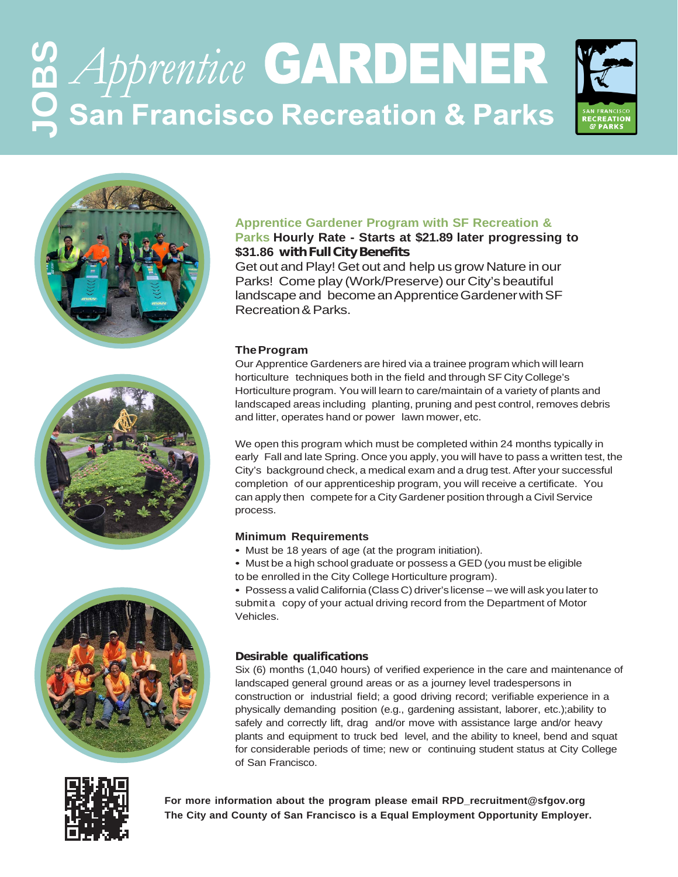# **GARDENER San Francisco Recreation & Parks**









### **Apprentice Gardener Program with SF Recreation &**

#### **Parks Hourly Rate - Starts at \$21.89 later progressing to \$31.86 withFullCityBenefits**

Get out and Play! Get out and help us grow Nature in our Parks! Come play (Work/Preserve) our City's beautiful landscape and become an Apprentice Gardener with SF Recreation& Parks.

#### **TheProgram**

Our Apprentice Gardeners are hired via a trainee program which will learn horticulture techniques both in the field and through SF City College's Horticulture program. You will learn to care/maintain of a variety of plants and landscaped areas including planting, pruning and pest control, removes debris and litter, operates hand or power lawn mower, etc.

We open this program which must be completed within 24 months typically in early Fall and late Spring. Once you apply, you will have to pass a written test, the City's background check, a medical exam and a drug test.After your successful completion of our apprenticeship program, you will receive a certificate. You can apply then compete for a City Gardener position through a Civil Service process.

#### **Minimum Requirements**

- Must be 18 years of age (at the program initiation).
- Must be a high school graduate or possess a GED (you must be eligible to be enrolled in the City College Horticulture program).

• Possess a valid California (Class C) driver's license – we will ask you laterto submit a copy of your actual driving record from the Department of Motor Vehicles.

#### **Desirable qualifications**

Six (6) months (1,040 hours) of verified experience in the care and maintenance of landscaped general ground areas or as a journey level tradespersons in construction or industrial field; a good driving record; verifiable experience in a physically demanding position (e.g., gardening assistant, laborer, etc.);ability to safely and correctly lift, drag and/or move with assistance large and/or heavy plants and equipment to truck bed level, and the ability to kneel, bend and squat for considerable periods of time; new or continuing student status at City College of San Francisco.



**For more information about the program please email [RPD\\_recruitment@sfgov.org](mailto:RPD_recruitment@sfgov.org)  The City and County of San Francisco is a Equal Employment Opportunity Employer.**